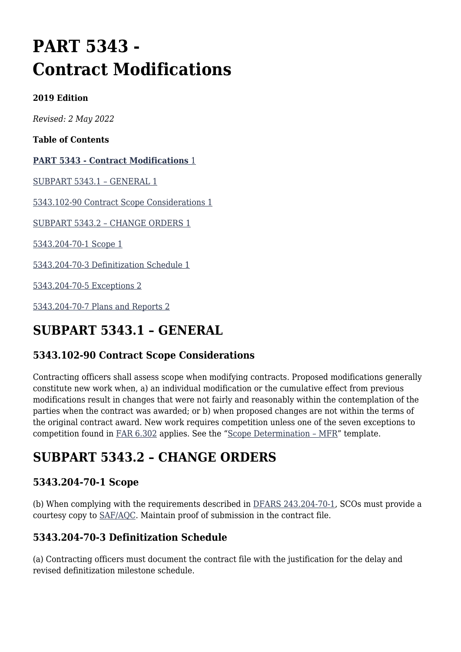# **PART 5343 - Contract Modifications**

#### **2019 Edition**

*Revised: 2 May 2022*

**Table of Contents**

#### **[PART 5343 - Contract Modifications](#page--1-0)** [1](#page--1-0)

[SUBPART 5343.1 – GENERAL 1](#page--1-0)

[5343.102-90 Contract Scope Considerations 1](#page--1-0)

[SUBPART 5343.2 – CHANGE ORDERS 1](#page--1-0)

[5343.204-70-1 Scope 1](#page--1-0)

[5343.204-70-3 Definitization Schedule 1](#page--1-0)

[5343.204-70-5 Exceptions 2](#page--1-0)

[5343.204-70-7 Plans and Reports 2](#page--1-0)

# **SUBPART 5343.1 – GENERAL**

### **5343.102-90 Contract Scope Considerations**

Contracting officers shall assess scope when modifying contracts. Proposed modifications generally constitute new work when, a) an individual modification or the cumulative effect from previous modifications result in changes that were not fairly and reasonably within the contemplation of the parties when the contract was awarded; or b) when proposed changes are not within the terms of the original contract award. New work requires competition unless one of the seven exceptions to competition found in [FAR 6.302](https://www.acquisition.gov/far/part-6#FAR_6_302) applies. See the ["Scope Determination – MFR](https://usaf.dps.mil/sites/AFCC/KnowledgeCenter/contracting_templates/scope_determination--MFR.docx)" template.

# **SUBPART 5343.2 – CHANGE ORDERS**

### **5343.204-70-1 Scope**

(b) When complying with the requirements described in [DFARS 243.204-70-1,](https://www.acquisition.gov/dfars/part-243-contract-modifications#DFARS-243.204-70-1) SCOs must provide a courtesy copy to [SAF/AQC](mailto:SAF.AQ.SAF-AQC.Workflow@us.af.mil). Maintain proof of submission in the contract file.

### **5343.204-70-3 Definitization Schedule**

(a) Contracting officers must document the contract file with the justification for the delay and revised definitization milestone schedule.